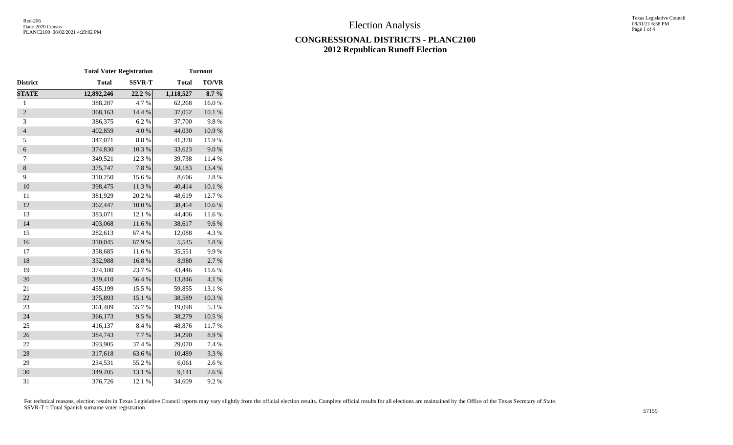## **CONGRESSIONAL DISTRICTS - PLANC2100 2012 Republican Runoff Election**

|                  | <b>Total Voter Registration</b> |               | <b>Turnout</b> |              |  |  |  |  |
|------------------|---------------------------------|---------------|----------------|--------------|--|--|--|--|
| District         | <b>Total</b>                    | <b>SSVR-T</b> | <b>Total</b>   | <b>TO/VR</b> |  |  |  |  |
| <b>STATE</b>     | 12,892,246                      | 22.2%         | 1,118,527      | $8.7\%$      |  |  |  |  |
| $\,1$            | 388,287                         | 4.7%          | 62,268         | 16.0%        |  |  |  |  |
| $\overline{2}$   | 368,163                         | 14.4 %        | 37,052         | 10.1%        |  |  |  |  |
| 3                | 386,375                         | 6.2%          | 37,700         | 9.8%         |  |  |  |  |
| $\overline{4}$   | 402,859                         | $4.0\ \%$     | 44,030         | $10.9\ \%$   |  |  |  |  |
| 5                | 347,071                         | $8.8\ \%$     | 41,378         | 11.9%        |  |  |  |  |
| $\boldsymbol{6}$ | 374,830                         | $10.3~\%$     | 33,623         | 9.0%         |  |  |  |  |
| 7                | 349,521                         | 12.3 %        | 39,738         | 11.4 %       |  |  |  |  |
| $\,8\,$          | 375,747                         | 7.8 %         | 50,183         | 13.4 %       |  |  |  |  |
| 9                | 310,250                         | 15.6%         | 8,606          | 2.8%         |  |  |  |  |
| 10               | 398,475                         | 11.3%         | 40,414         | $10.1~\%$    |  |  |  |  |
| 11               | 381,929                         | 20.2 %        | 48,619         | 12.7 %       |  |  |  |  |
| 12               | 362,447                         | $10.0~\%$     | 38,454         | $10.6~\%$    |  |  |  |  |
| 13               | 383,071                         | 12.1 %        | 44,406         | 11.6%        |  |  |  |  |
| 14               | 403,068                         | 11.6 %        | 38,617         | 9.6%         |  |  |  |  |
| 15               | 282,613                         | 67.4 %        | 12,088         | 4.3 %        |  |  |  |  |
| 16               | 310,045                         | 67.9%         | 5,545          | $1.8~\%$     |  |  |  |  |
| 17               | 358,685                         | 11.6%         | 35,551         | 9.9%         |  |  |  |  |
| 18               | 332,988                         | 16.8%         | 8,980          | 2.7%         |  |  |  |  |
| 19               | 374,180                         | 23.7%         | 43,446         | 11.6%        |  |  |  |  |
| 20               | 339,410                         | 56.4 %        | 13,846         | $4.1~\%$     |  |  |  |  |
| 21               | 455,199                         | 15.5 %        | 59,855         | 13.1 %       |  |  |  |  |
| 22               | 375,893                         | 15.1 %        | 38,589         | 10.3 %       |  |  |  |  |
| 23               | 361,409                         | 55.7%         | 19,098         | 5.3 %        |  |  |  |  |
| 24               | 366,173                         | 9.5%          | 38,279         | $10.5~\%$    |  |  |  |  |
| 25               | 416,137                         | 8.4%          | 48,876         | 11.7%        |  |  |  |  |
| 26               | 384,743                         | 7.7 %         | 34,290         | 8.9%         |  |  |  |  |
| 27               | 393,905                         | 37.4 %        | 29,070         | 7.4 %        |  |  |  |  |
| 28               | 317,618                         | 63.6%         | 10,489         | 3.3 %        |  |  |  |  |
| 29               | 234,531                         | 55.2 %        | 6,061          | 2.6 %        |  |  |  |  |
| 30               | 349,205                         | 13.1 %        | 9,141          | 2.6 %        |  |  |  |  |
| 31               | 376,726                         | 12.1 %        | 34,609         | 9.2%         |  |  |  |  |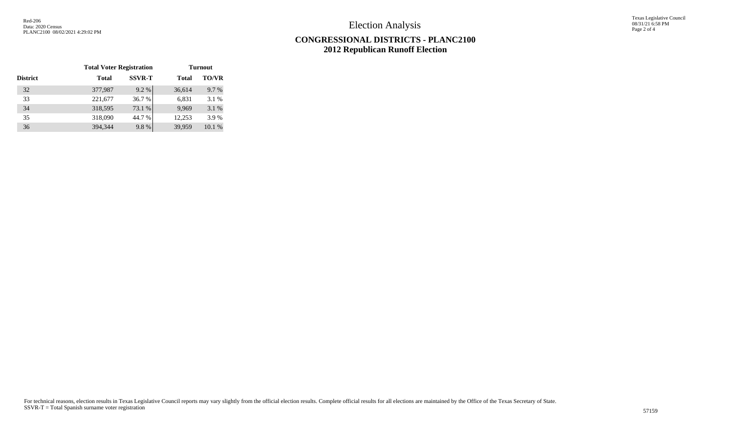Election Analysis

Texas Legislative Council 08/31/21 6:58 PM Page 2 of 4

## **CONGRESSIONAL DISTRICTS - PLANC2100 2012 Republican Runoff Election**

|                 | <b>Total Voter Registration</b> |               | <b>Turnout</b> |              |  |  |  |  |
|-----------------|---------------------------------|---------------|----------------|--------------|--|--|--|--|
| <b>District</b> | <b>Total</b>                    | <b>SSVR-T</b> | <b>Total</b>   | <b>TO/VR</b> |  |  |  |  |
| 32              | 377,987                         | 9.2%          | 36,614         | 9.7 %        |  |  |  |  |
| 33              | 221,677                         | 36.7%         | 6,831          | 3.1 %        |  |  |  |  |
| 34              | 318,595                         | 73.1 %        | 9,969          | 3.1 %        |  |  |  |  |
| 35              | 318,090                         | 44.7 %        | 12,253         | 3.9%         |  |  |  |  |
| 36              | 394,344                         | 9.8%          | 39,959         | 10.1 %       |  |  |  |  |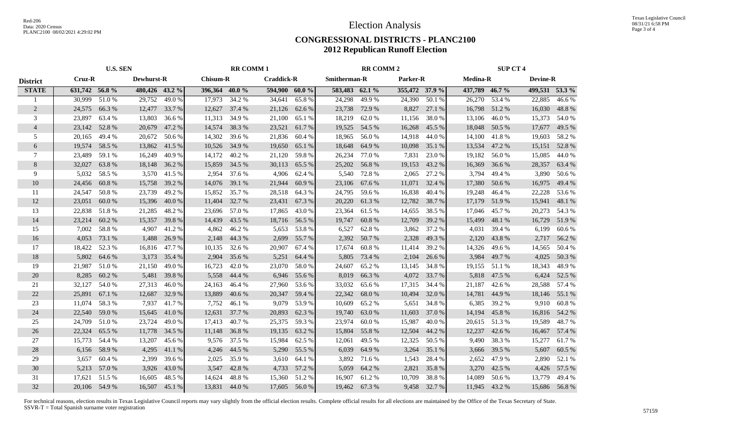## **CONGRESSIONAL DISTRICTS - PLANC2100 2012 Republican Runoff Election**

|                 | <b>U.S. SEN</b>             |               |                |                                      | <b>RR COMM1</b> |        |               |                          | <b>RR COMM 2</b> |        |                | <b>SUP CT 4</b>                    |                |               |                |              |
|-----------------|-----------------------------|---------------|----------------|--------------------------------------|-----------------|--------|---------------|--------------------------|------------------|--------|----------------|------------------------------------|----------------|---------------|----------------|--------------|
| <b>District</b> | Cruz-R<br><b>Dewhurst-R</b> |               |                | <b>Chisum-R</b><br><b>Craddick-R</b> |                 |        |               | Smitherman-R<br>Parker-R |                  |        |                | <b>Medina-R</b><br><b>Devine-R</b> |                |               |                |              |
| <b>STATE</b>    | 631,742 56.8%               |               | 480,426 43.2 % |                                      | 396,364 40.0 %  |        | 594,900 60.0% |                          | 583,483 62.1 %   |        | 355,472 37.9 % |                                    | 437,789 46.7 % |               | 499,531 53.3 % |              |
|                 | 30,999                      | 51.0%         | 29,752         | 49.0%                                | 17,973          | 34.2 % | 34,641        | 65.8%                    | 24,298           | 49.9%  | 24,390         | 50.1%                              | 26,270         | 53.4 %        | 22,885         | 46.6%        |
| 2               | 24,575                      | 66.3%         | 12,477         | 33.7 %                               | 12,627          | 37.4 % | 21,126        | 62.6 %                   | 23,738           | 72.9 % | 8,827          | 27.1 %                             | 16,798         | 51.2 %        | 16,030         | 48.8%        |
| 3               | 23,897                      | 63.4 %        | 13,803         | 36.6 %                               | 11,313          | 34.9 % | 21,100        | 65.1 %                   | 18,219           | 62.0%  | 11,156         | 38.0%                              | 13,106         | 46.0%         | 15,373         | 54.0 %       |
| $\overline{4}$  | 23,142                      | 52.8%         | 20,679         | 47.2 %                               | 14,574          | 38.3 % | 23,521        | 61.7%                    | 19,525           | 54.5 % | 16,268         | 45.5 %                             | 18,048         | 50.5 %        | 17,677         | 49.5 %       |
| 5               | 20,165                      | 49.4 %        | 20,672         | 50.6 %                               | 14,302          | 39.6 % | 21,836        | 60.4 %                   | 18,965           | 56.0%  | 14,918         | 44.0%                              | 14,100         | 41.8%         | 19,603         | 58.2 %       |
| 6               | 19,574                      | 58.5 %        | 13,862         | 41.5%                                | 10,526          | 34.9 % | 19,650        | 65.1 %                   | 18,648           | 64.9 % | 10,098         | 35.1 %                             | 13,534         | 47.2 %        | 15,151         | 52.8%        |
| 7               | 23,489                      | 59.1 %        | 16,249         | 40.9%                                | 14,172          | 40.2 % | 21,120        | 59.8%                    | 26,234           | 77.0 % | 7,831          | 23.0 %                             | 19,182         | 56.0%         | 15,085         | 44.0 %       |
| 8               | 32,027                      | 63.8%         | 18,148         | 36.2 %                               | 15,859          | 34.5 % | 30,113        | 65.5 %                   | 25,202           | 56.8%  | 19,153         | 43.2 %                             | 16,369         | 36.6 %        | 28,357         | 63.4 %       |
| 9               | 5,032                       | 58.5 %        | 3,570          | 41.5 %                               | 2,954           | 37.6 % | 4,906         | 62.4 %                   | 5,540            | 72.8%  | 2,065          | 27.2 %                             | 3,794          | 49.4 %        | 3,890          | 50.6 %       |
| 10              | 24,456                      | 60.8 %        | 15,758         | 39.2 %                               | 14,076          | 39.1 % | 21,944        | 60.9%                    | 23,106           | 67.6 % | 11,071         | 32.4 %                             | 17,380         | 50.6%         | 16,975         | 49.4 %       |
| 11              | 24,547                      | 50.8%         | 23,739         | 49.2 %                               | 15,852          | 35.7 % | 28,518        | 64.3 %                   | 24,795           | 59.6%  | 16,838         | 40.4 %                             | 19,248         | 46.4 %        | 22,228         | 53.6 %       |
| 12              | 23,051                      | 60.0%         | 15,396         | 40.0%                                | 11,404          | 32.7 % | 23,431        | 67.3 %                   | 20,220           | 61.3%  | 12,782         | 38.7%                              | 17,179         | 51.9%         | 15,941         | 48.1 %       |
| 13              | 22,838                      | 51.8%         | 21,285         | 48.2%                                | 23,696          | 57.0 % | 17,865        | 43.0%                    | 23,364           | 61.5 % | 14,655         | 38.5 %                             | 17,046         | 45.7%         | 20,273         | 54.3 %       |
| 14              | 23,214                      | 60.2%         | 15,357         | 39.8%                                | 14,439          | 43.5 % | 18,716        | 56.5 %                   | 19,747           | 60.8%  | 12,709         | 39.2 %                             | 15,499         | 48.1 %        | 16,729         | 51.9%        |
| 15              | 7,002                       | 58.8%         | 4,907          | 41.2%                                | 4,862           | 46.2%  | 5,653         | 53.8%                    | 6,527            | 62.8%  | 3,862          | 37.2 %                             | 4,031          | 39.4 %        | 6,199          | 60.6%        |
| 16              | 4,053                       | 73.1 %        | 1,488          | 26.9 %                               | 2,148           | 44.3 % | 2,699         | 55.7 %                   | 2,392            | 50.7%  | 2,328          | 49.3%                              | 2,120          | 43.8%         | 2,717          | 56.2%        |
| 17              | 18,422                      | 52.3 %        | 16,816         | 47.7 %                               | 10,135          | 32.6 % | 20,907        | 67.4 %                   | 17,674           | 60.8%  | 11,414         | 39.2 %                             | 14,326         | 49.6%         | 14,565         | 50.4 %       |
| 18              | 5,802                       | 64.6 %        | 3,173          | 35.4 %                               | 2,904           | 35.6 % | 5,251         | 64.4 %                   | 5,805            | 73.4 % | 2,104          | 26.6 %                             | 3,984          | 49.7%         | 4,025          | 50.3%        |
| 19              | 21,987                      | 51.0%         | 21,150         | 49.0%                                | 16,723          | 42.0%  | 23,070        | 58.0%                    | 24,607           | 65.2%  | 13,145         | 34.8%                              | 19,155         | 51.1 %        | 18,343         | 48.9%        |
| 20              | 8,285                       | 60.2%         | 5,481          | 39.8%                                | 5,558           | 44.4 % | 6,946         | 55.6 %                   | 8,019            | 66.3%  | 4,072          | 33.7 %                             | 5,818          | 47.5 %        | 6,424          | 52.5 %       |
| 21              | 32,127                      | 54.0%         | 27,313         | 46.0%                                | 24,163          | 46.4%  | 27,960        | 53.6 %                   | 33,032           | 65.6%  | 17,315         | 34.4 %                             | 21,187         | 42.6 %        | 28,588         | 57.4 %       |
| 22              | 25,891                      | 67.1 %        | 12,687         | 32.9 %                               | 13,889          | 40.6 % | 20,347        | 59.4 %                   | 22,342           | 68.0%  | 10,494         | 32.0 %                             | 14,781         | 44.9%         | 18,146         | 55.1 %       |
| 23              | 11,074                      | 58.3%         | 7,937          | 41.7 %                               | 7,752           | 46.1 % | 9,079         | 53.9%                    | 10,609           | 65.2%  | 5,651          | 34.8%                              | 6,385          | 39.2 %        | 9,910          | 60.8%        |
| 24              | 22,540                      | 59.0%         | 15,645         | 41.0%                                | 12,631          | 37.7 % | 20,893        | 62.3 %                   | 19,740           | 63.0%  | 11,603         | 37.0 %                             | 14,194         | 45.8%         | 16,816         | 54.2 %       |
| 25              | 24,709                      | 51.0%         | 23,724         | 49.0%                                | 17,413          | 40.7%  | 25,375        | 59.3%                    | 23,974           | 60.0%  | 15,987         | 40.0%                              | 20,615         | 51.3%         | 19,589         | 48.7%        |
| 26              | 22,324                      | 65.5 %        | 11,778         | 34.5 %                               | 11,148          | 36.8%  | 19,135        | 63.2%                    | 15,804           | 55.8%  | 12,504         | 44.2 %                             | 12,237         | 42.6 %        | 16,467         | 57.4 %       |
| 27              | 15,773                      | 54.4 %        | 13,207         | 45.6 %                               | 9,576           | 37.5 % | 15,984        | 62.5 %                   | 12,061           | 49.5 % | 12,325         | 50.5 %                             | 9,490          | 38.3 %        | 15,277         | 61.7%        |
| 28              | 6,156                       | 58.9%         | 4,295          | 41.1 %                               | 4,246           | 44.5 % | 5,290         | 55.5 %                   | 6,039            | 64.9%  | 3,264          | 35.1 %                             | 3,666          | 39.5 %        | 5,607          | 60.5 %       |
| 29              | 3,657                       | 60.4%         | 2,399          | 39.6 %                               | 2,025           | 35.9%  | 3,610         | 64.1 %                   | 3,892            | 71.6 % | 1,543          | 28.4 %                             | 2,652          | 47.9%         | 2,890          | 52.1 %       |
| 30              | 5,213                       | 57.0%         | 3,926          | 43.0%                                | 3,547           | 42.8%  | 4,733         | 57.2 %                   | 5,059            | 64.2%  | 2,821          | 35.8%                              | 3,270          | 42.5 %        | 4,426          | 57.5 %       |
| 31              | 17.621                      | 51.5 %        | 16,605         | 48.5 %                               | 14,624          | 48.8%  | 15,360        | 51.2%                    | 16.907           | 61.2%  | 10,709         | 38.8%                              | 14.089         | 50.6 %        | 13,779         | 49.4 %       |
| 32              |                             | 20,106 54.9 % | 16,507         | 45.1 %                               | 13,831          | 44.0%  | 17,605        | 56.0%                    | 19,462           | 67.3 % | 9,458          | 32.7 %                             |                | 11,945 43.2 % |                | 15,686 56.8% |